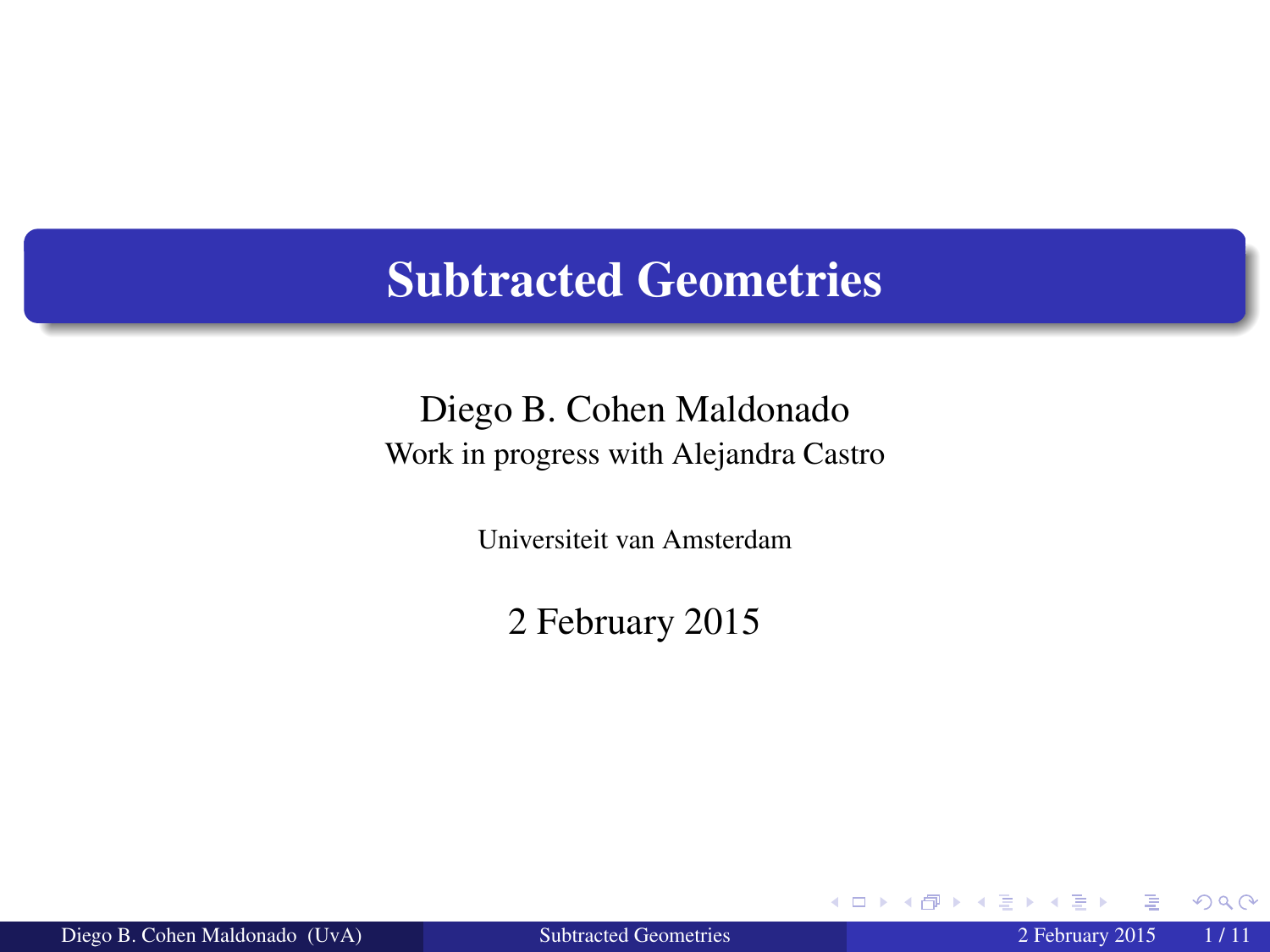#### Subtracted Geometries

#### Diego B. Cohen Maldonado Work in progress with Alejandra Castro

Universiteit van Amsterdam

2 February 2015

Diego B. Cohen Maldonado (UvA) [Subtracted Geometries](#page-10-0) 2 February 2015 1 / 11

4 0 8

<span id="page-0-0"></span> $QQ$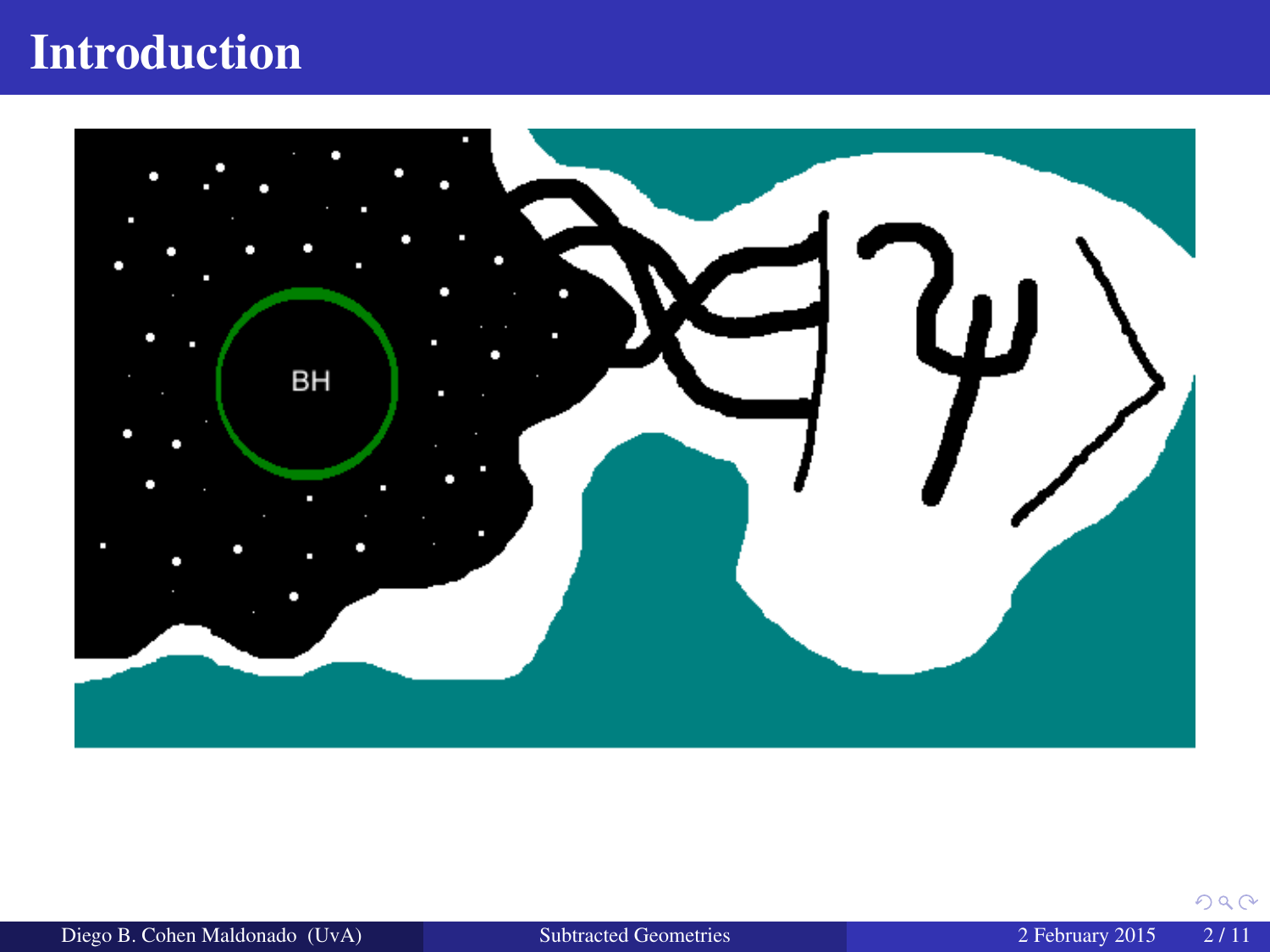# Introduction



 $290$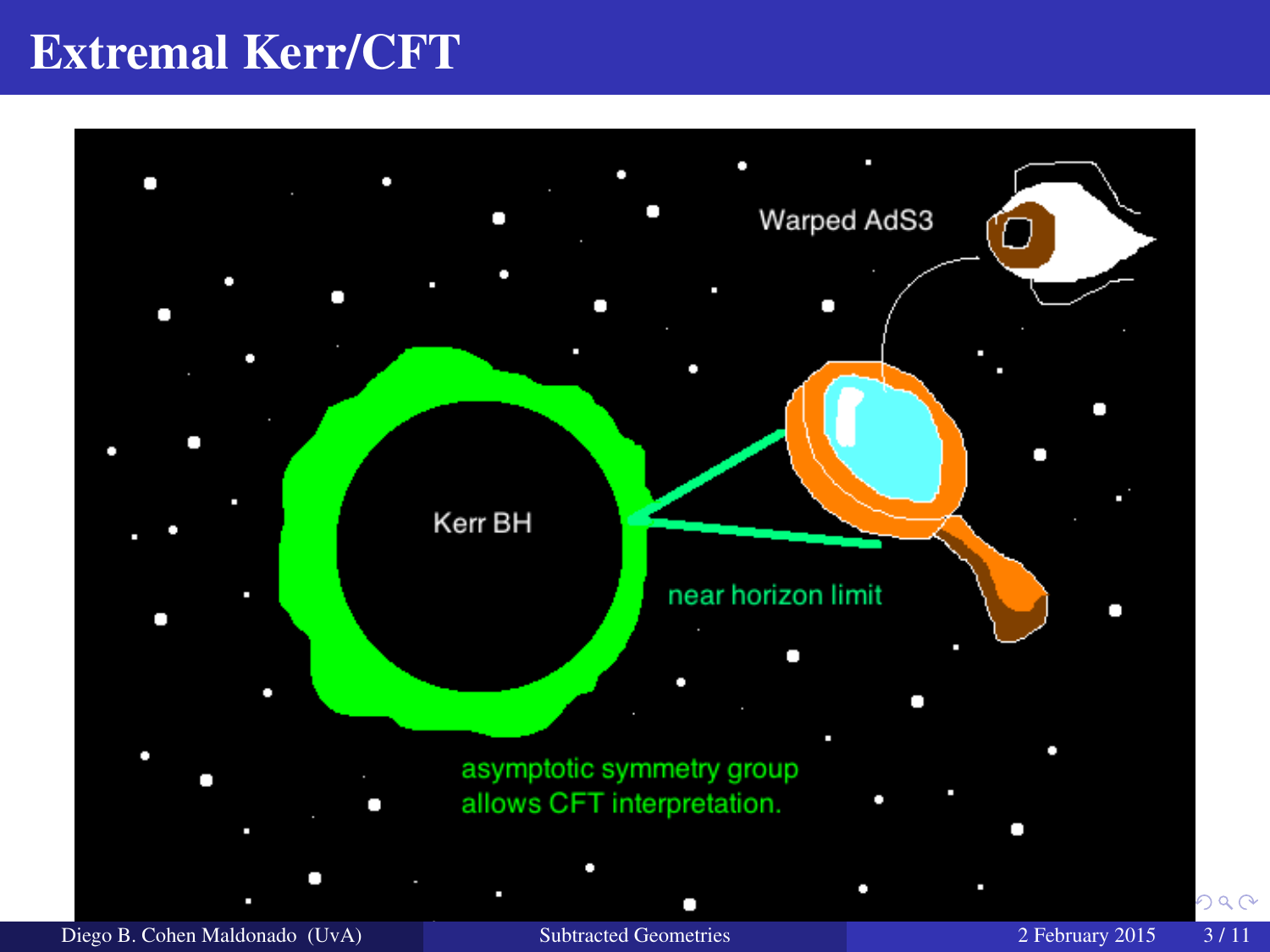## Extremal Kerr/CFT

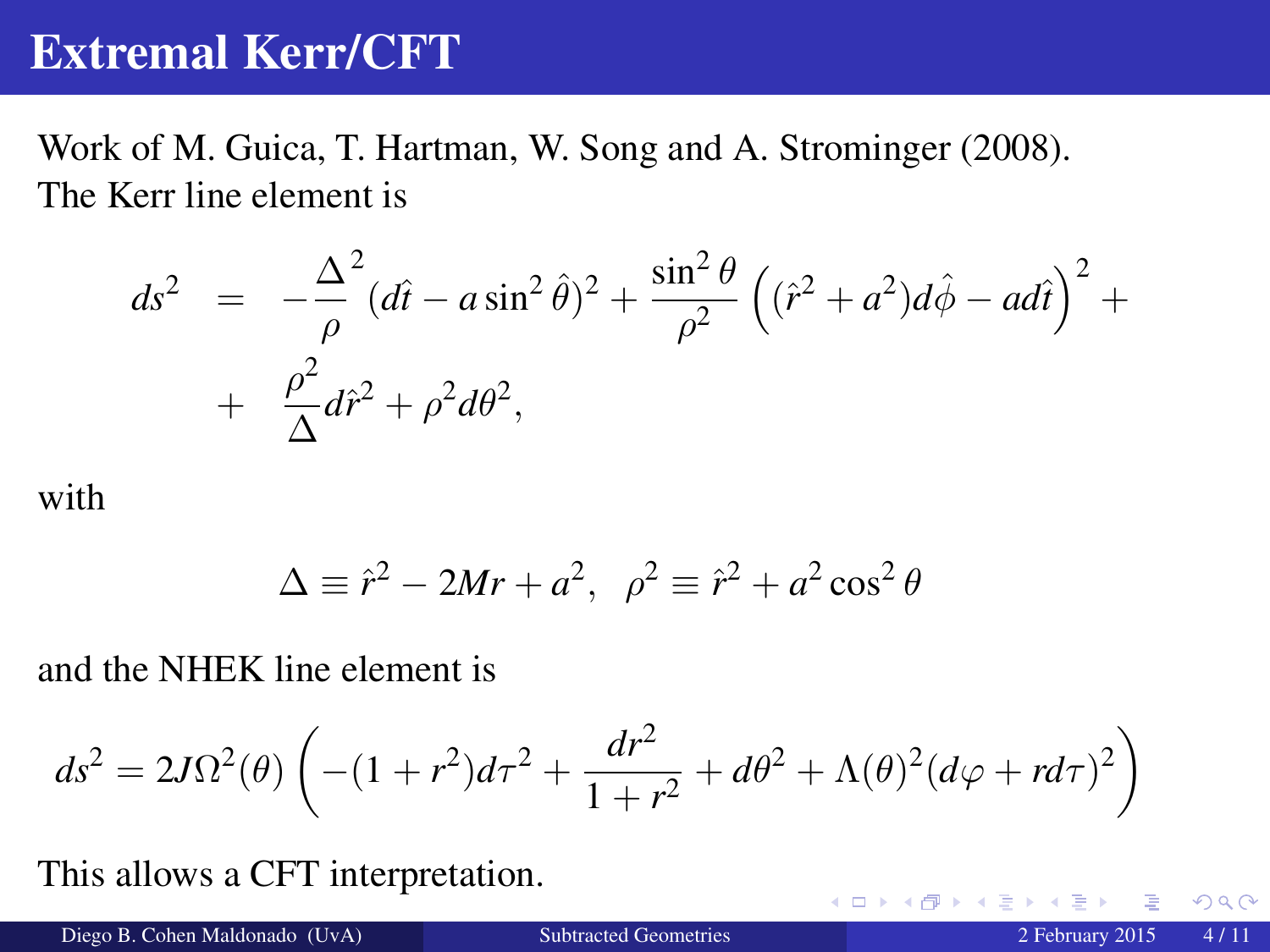### Extremal Kerr/CFT

Work of M. Guica, T. Hartman, W. Song and A. Strominger (2008). The Kerr line element is

$$
ds^{2} = -\frac{\Delta^{2}}{\rho}(d\hat{t} - a\sin^{2}\hat{\theta})^{2} + \frac{\sin^{2}\theta}{\rho^{2}}((\hat{r}^{2} + a^{2})d\hat{\phi} - ad\hat{t})^{2} + \frac{\rho^{2}}{\Delta}d\hat{r}^{2} + \rho^{2}d\theta^{2},
$$

with

$$
\Delta \equiv \hat{r}^2 - 2Mr + a^2, \ \ \rho^2 \equiv \hat{r}^2 + a^2 \cos^2 \theta
$$

and the NHEK line element is

$$
ds^{2} = 2J\Omega^{2}(\theta)\left(-(1+r^{2})d\tau^{2} + \frac{dr^{2}}{1+r^{2}} + d\theta^{2} + \Lambda(\theta)^{2}(d\varphi + rd\tau)^{2}\right)
$$

This allows a CFT interpretation.

4 D F

 $QQ$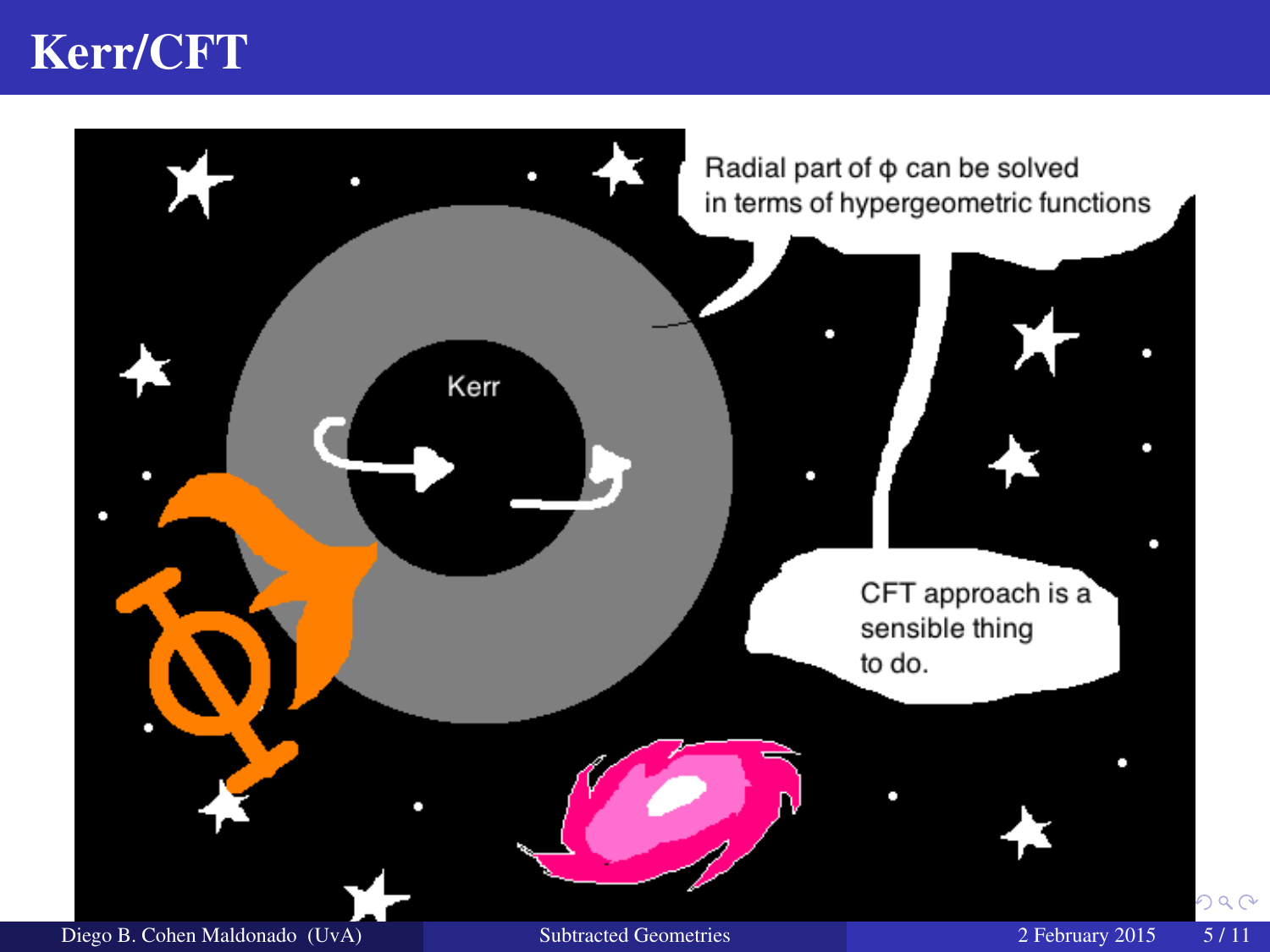## Kerr/CFT

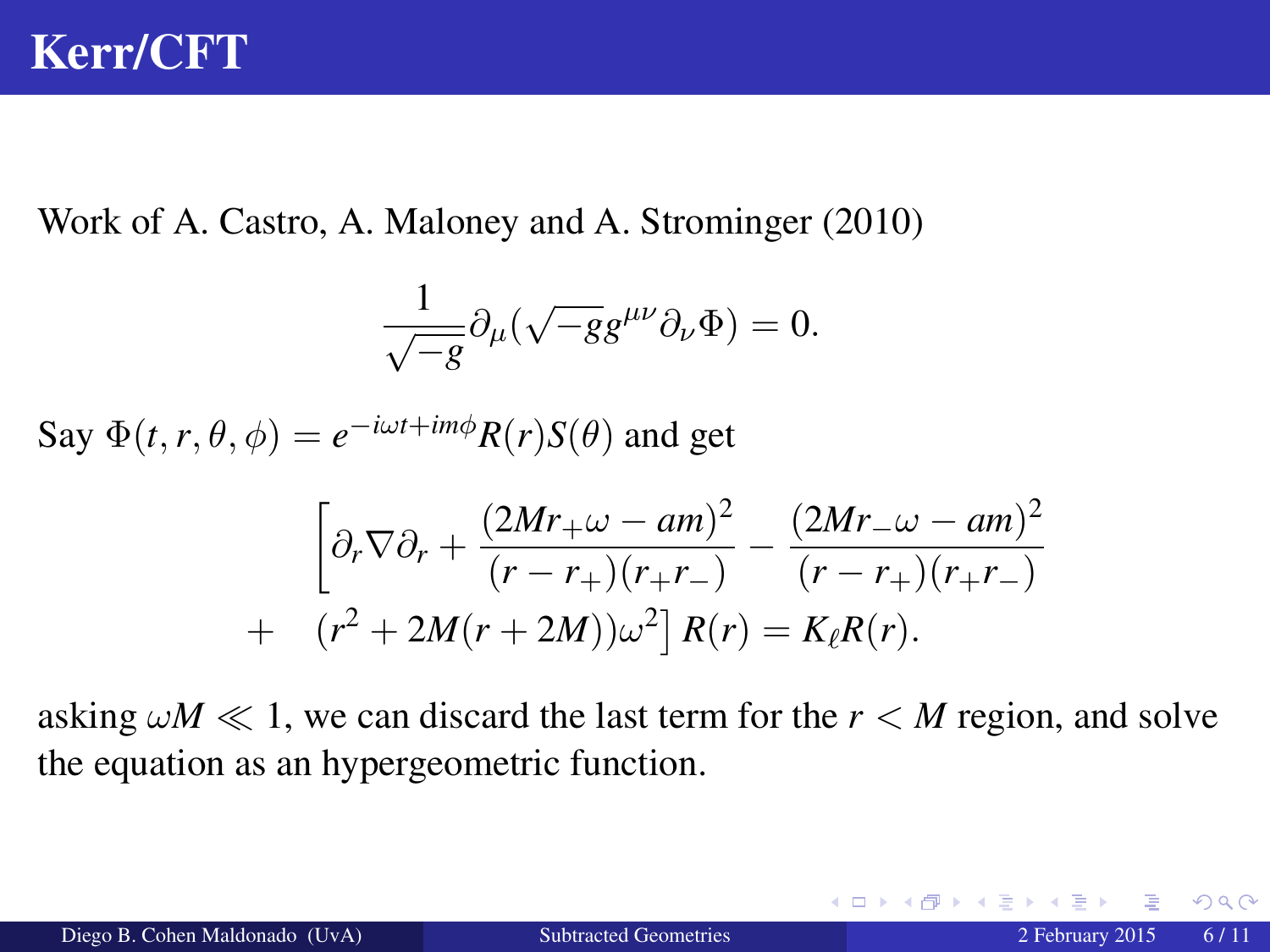## Kerr/CFT

Work of A. Castro, A. Maloney and A. Strominger (2010)

$$
\frac{1}{\sqrt{-g}}\partial_\mu(\sqrt{-g}g^{\mu\nu}\partial_\nu\Phi)=0.
$$

Say  $\Phi(t, r, \theta, \phi) = e^{-i\omega t + im\phi} R(r) S(\theta)$  and get

$$
\left[\partial_r \nabla \partial_r + \frac{(2Mr_+ \omega - am)^2}{(r - r_+)(r_+ r_-)} - \frac{(2Mr_- \omega - am)^2}{(r - r_+)(r_+ r_-)} + (r^2 + 2M(r + 2M))\omega^2\right] R(r) = K_{\ell}R(r).
$$

asking  $\omega M \ll 1$ , we can discard the last term for the  $r < M$  region, and solve the equation as an hypergeometric function.

 $209$ 

**≮ロト ⊀ 何 ト ⊀ ヨ ト**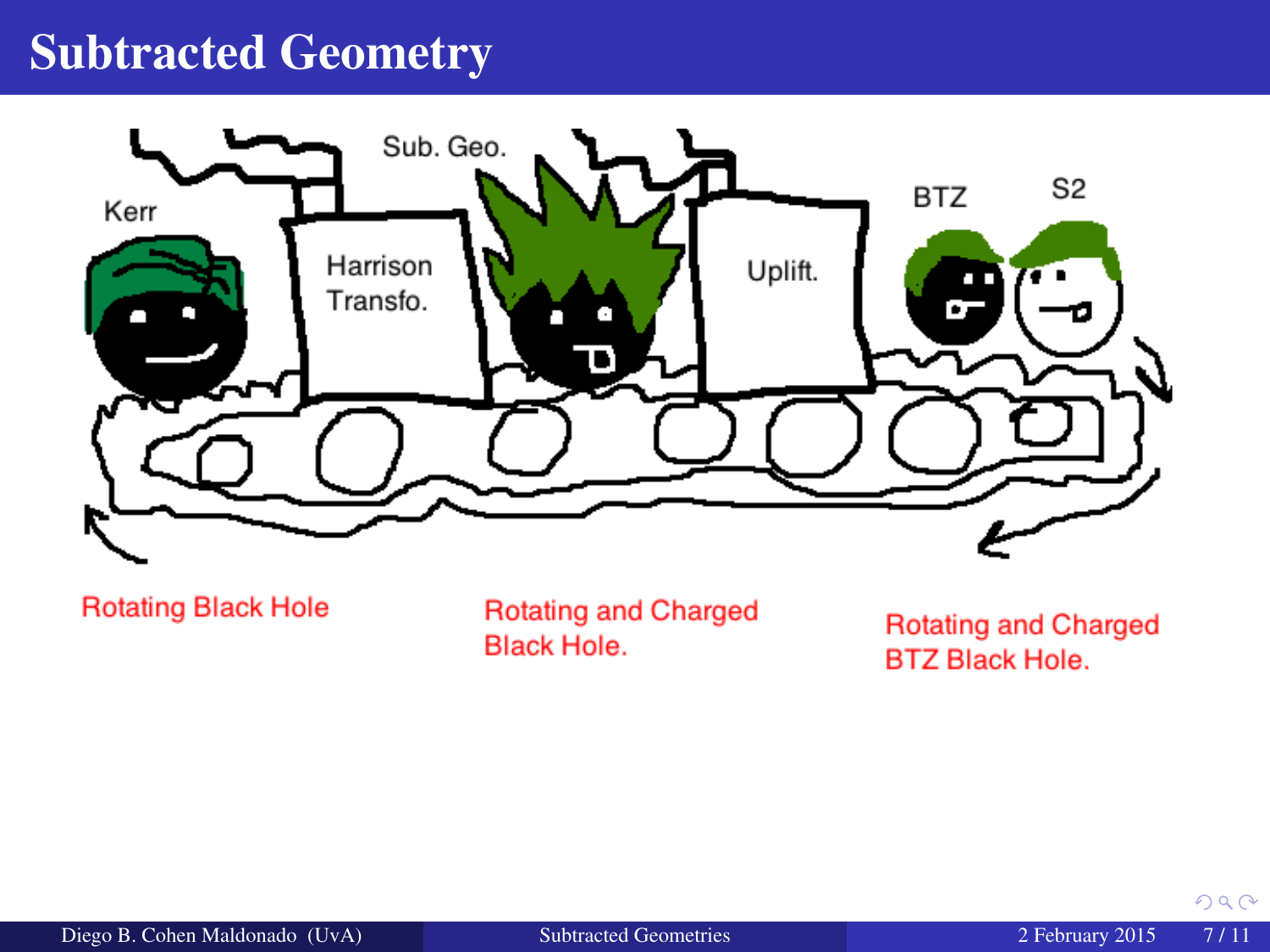### Subtracted Geometry



**Rotating Black Hole** 

**Rotating and Charged Black Hole.** 

**Rotating and Charged BTZ Black Hole.** 

 $290$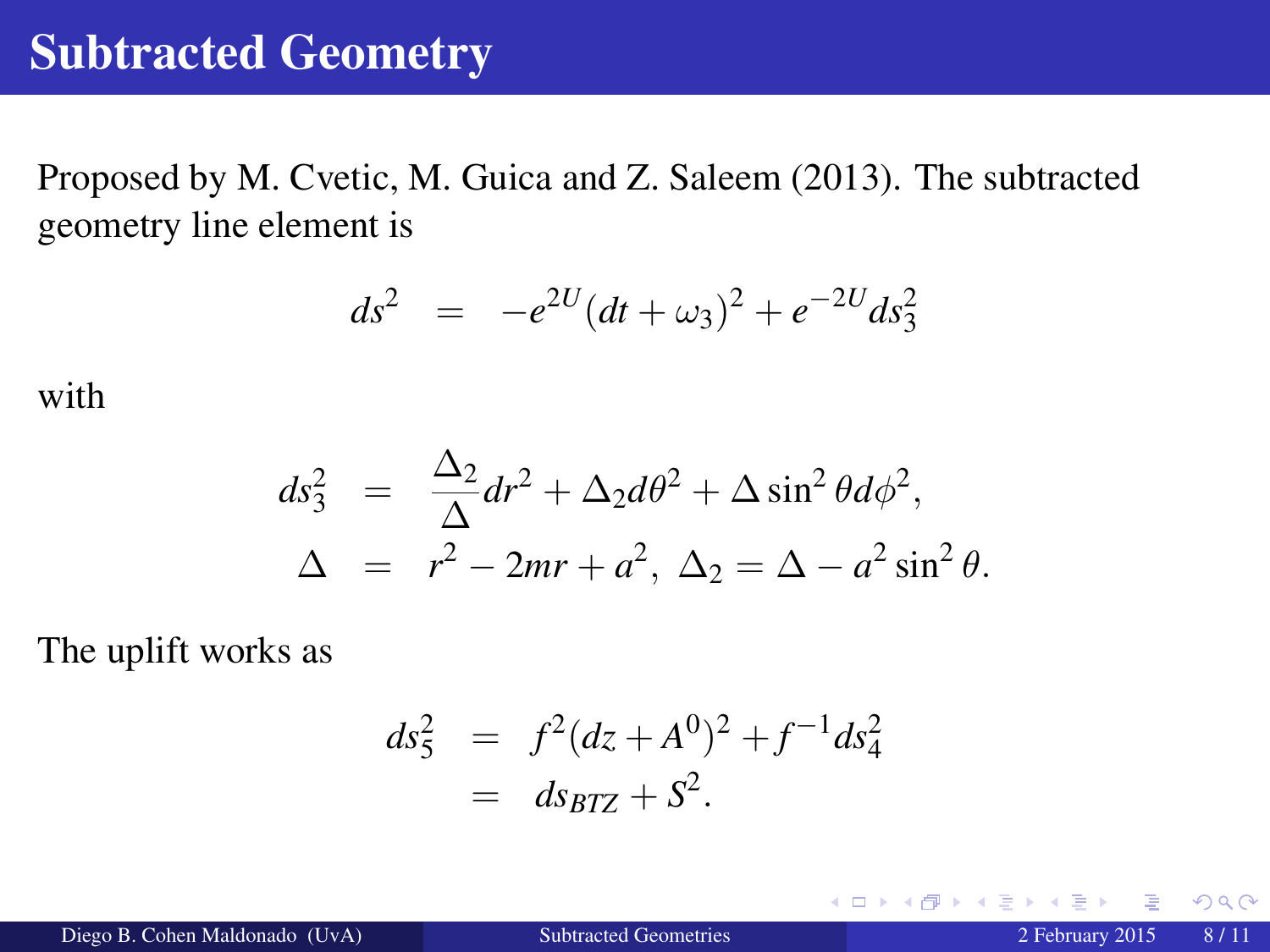### Subtracted Geometry

Proposed by M. Cvetic, M. Guica and Z. Saleem (2013). The subtracted geometry line element is

$$
ds^2 = -e^{2U}(dt + \omega_3)^2 + e^{-2U}ds_3^2
$$

with

$$
ds_3^2 = \frac{\Delta_2}{\Delta} dr^2 + \Delta_2 d\theta^2 + \Delta \sin^2 \theta d\phi^2,
$$
  

$$
\Delta = r^2 - 2mr + a^2, \ \Delta_2 = \Delta - a^2 \sin^2 \theta.
$$

The uplift works as

$$
ds_5^2 = f^2 (dz + A^0)^2 + f^{-1} ds_4^2
$$
  
= ds<sub>BTZ</sub> + S<sup>2</sup>.

 $\begin{array}{c} 4 \quad \text{I} \quad \text{I} \quad \text{I} \quad \text{I} \quad \text{I} \end{array}$ 

 $299$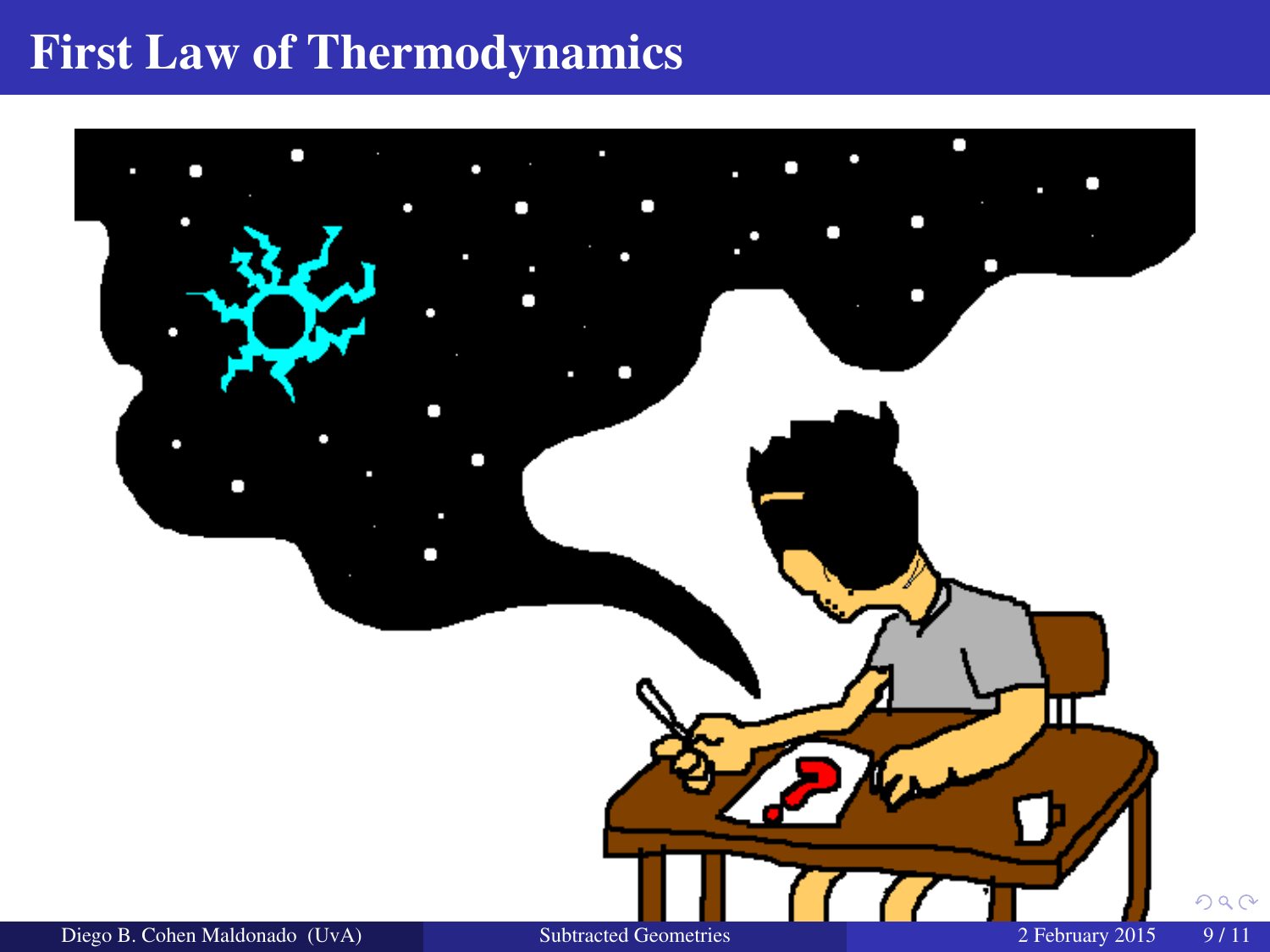## First Law of Thermodynamics

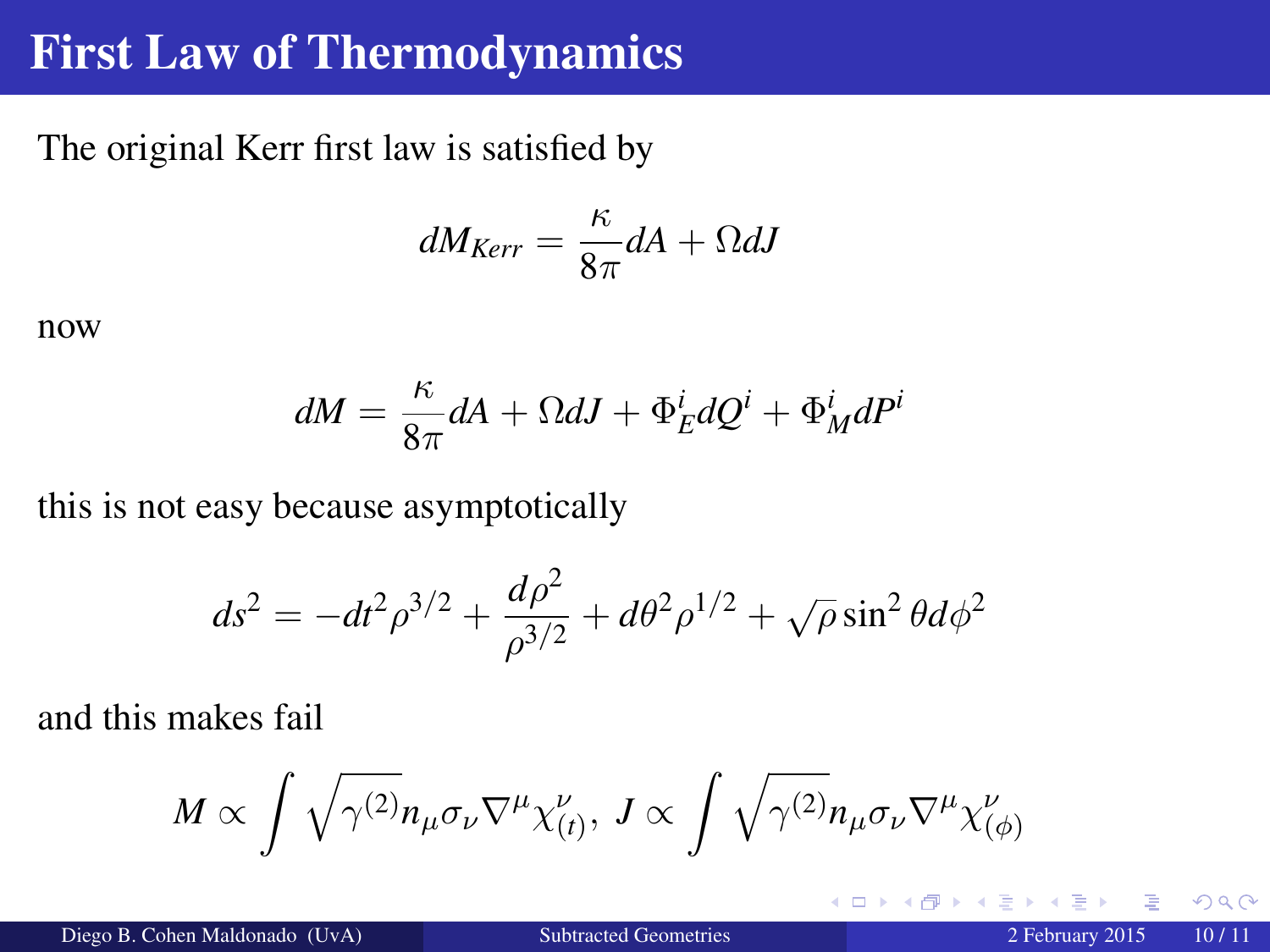### First Law of Thermodynamics

The original Kerr first law is satisfied by

$$
dM_{Kerr} = \frac{\kappa}{8\pi} dA + \Omega dJ
$$

now

$$
dM = \frac{\kappa}{8\pi} dA + \Omega dJ + \Phi_E^i dQ^i + \Phi_M^i dP^i
$$

this is not easy because asymptotically

$$
ds^{2} = -dt^{2} \rho^{3/2} + \frac{d\rho^{2}}{\rho^{3/2}} + d\theta^{2} \rho^{1/2} + \sqrt{\rho} \sin^{2} \theta d\phi^{2}
$$

and this makes fail

$$
M\propto \int \sqrt{\gamma^{(2)}} n_{\mu}\sigma_{\nu}\nabla^{\mu}\chi^{\nu}_{(t)},\; J\propto \int \sqrt{\gamma^{(2)}} n_{\mu}\sigma_{\nu}\nabla^{\mu}\chi^{\nu}_{(\phi)}
$$

 $\leftarrow$   $\Box$ 

 $QQ$